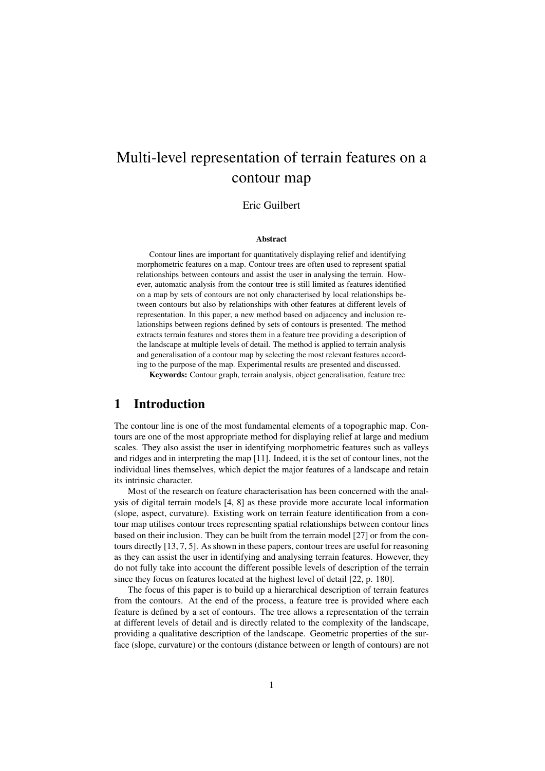# Multi-level representation of terrain features on a contour map

Eric Guilbert

#### Abstract

Contour lines are important for quantitatively displaying relief and identifying morphometric features on a map. Contour trees are often used to represent spatial relationships between contours and assist the user in analysing the terrain. However, automatic analysis from the contour tree is still limited as features identified on a map by sets of contours are not only characterised by local relationships between contours but also by relationships with other features at different levels of representation. In this paper, a new method based on adjacency and inclusion relationships between regions defined by sets of contours is presented. The method extracts terrain features and stores them in a feature tree providing a description of the landscape at multiple levels of detail. The method is applied to terrain analysis and generalisation of a contour map by selecting the most relevant features according to the purpose of the map. Experimental results are presented and discussed.

Keywords: Contour graph, terrain analysis, object generalisation, feature tree

## 1 Introduction

The contour line is one of the most fundamental elements of a topographic map. Contours are one of the most appropriate method for displaying relief at large and medium scales. They also assist the user in identifying morphometric features such as valleys and ridges and in interpreting the map [\[11\]](#page-21-0). Indeed, it is the set of contour lines, not the individual lines themselves, which depict the major features of a landscape and retain its intrinsic character.

Most of the research on feature characterisation has been concerned with the analysis of digital terrain models [\[4,](#page-20-0) [8\]](#page-21-1) as these provide more accurate local information (slope, aspect, curvature). Existing work on terrain feature identification from a contour map utilises contour trees representing spatial relationships between contour lines based on their inclusion. They can be built from the terrain model [\[27\]](#page-22-0) or from the contours directly [\[13,](#page-21-2) [7,](#page-20-1) [5\]](#page-20-2). As shown in these papers, contour trees are useful for reasoning as they can assist the user in identifying and analysing terrain features. However, they do not fully take into account the different possible levels of description of the terrain since they focus on features located at the highest level of detail [\[22,](#page-22-1) p. 180].

The focus of this paper is to build up a hierarchical description of terrain features from the contours. At the end of the process, a feature tree is provided where each feature is defined by a set of contours. The tree allows a representation of the terrain at different levels of detail and is directly related to the complexity of the landscape, providing a qualitative description of the landscape. Geometric properties of the surface (slope, curvature) or the contours (distance between or length of contours) are not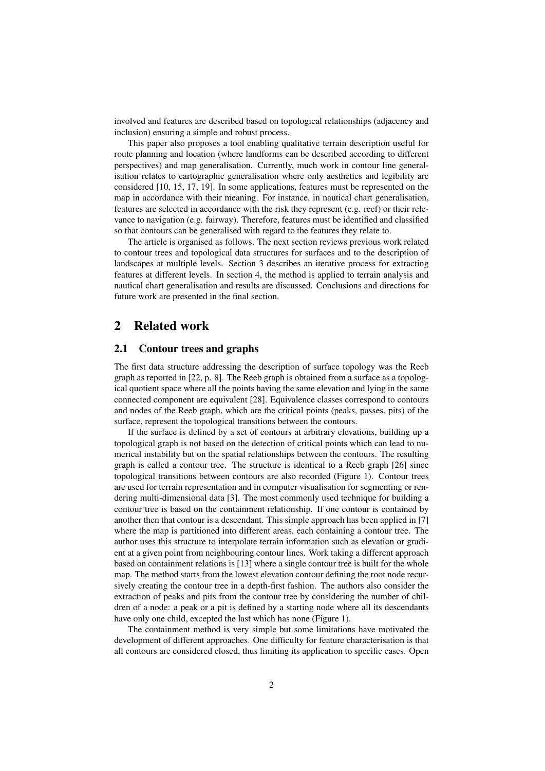involved and features are described based on topological relationships (adjacency and inclusion) ensuring a simple and robust process.

This paper also proposes a tool enabling qualitative terrain description useful for route planning and location (where landforms can be described according to different perspectives) and map generalisation. Currently, much work in contour line generalisation relates to cartographic generalisation where only aesthetics and legibility are considered [\[10,](#page-21-3) [15,](#page-21-4) [17,](#page-21-5) [19\]](#page-21-6). In some applications, features must be represented on the map in accordance with their meaning. For instance, in nautical chart generalisation, features are selected in accordance with the risk they represent (e.g. reef) or their relevance to navigation (e.g. fairway). Therefore, features must be identified and classified so that contours can be generalised with regard to the features they relate to.

The article is organised as follows. The next section reviews previous work related to contour trees and topological data structures for surfaces and to the description of landscapes at multiple levels. Section [3](#page-4-0) describes an iterative process for extracting features at different levels. In section [4,](#page-13-0) the method is applied to terrain analysis and nautical chart generalisation and results are discussed. Conclusions and directions for future work are presented in the final section.

# 2 Related work

#### 2.1 Contour trees and graphs

The first data structure addressing the description of surface topology was the Reeb graph as reported in [\[22,](#page-22-1) p. 8]. The Reeb graph is obtained from a surface as a topological quotient space where all the points having the same elevation and lying in the same connected component are equivalent [\[28\]](#page-22-2). Equivalence classes correspond to contours and nodes of the Reeb graph, which are the critical points (peaks, passes, pits) of the surface, represent the topological transitions between the contours.

If the surface is defined by a set of contours at arbitrary elevations, building up a topological graph is not based on the detection of critical points which can lead to numerical instability but on the spatial relationships between the contours. The resulting graph is called a contour tree. The structure is identical to a Reeb graph [\[26\]](#page-22-3) since topological transitions between contours are also recorded (Figure [1\)](#page-2-0). Contour trees are used for terrain representation and in computer visualisation for segmenting or rendering multi-dimensional data [\[3\]](#page-20-3). The most commonly used technique for building a contour tree is based on the containment relationship. If one contour is contained by another then that contour is a descendant. This simple approach has been applied in [\[7\]](#page-20-1) where the map is partitioned into different areas, each containing a contour tree. The author uses this structure to interpolate terrain information such as elevation or gradient at a given point from neighbouring contour lines. Work taking a different approach based on containment relations is [\[13\]](#page-21-2) where a single contour tree is built for the whole map. The method starts from the lowest elevation contour defining the root node recursively creating the contour tree in a depth-first fashion. The authors also consider the extraction of peaks and pits from the contour tree by considering the number of children of a node: a peak or a pit is defined by a starting node where all its descendants have only one child, excepted the last which has none (Figure [1\)](#page-2-0).

The containment method is very simple but some limitations have motivated the development of different approaches. One difficulty for feature characterisation is that all contours are considered closed, thus limiting its application to specific cases. Open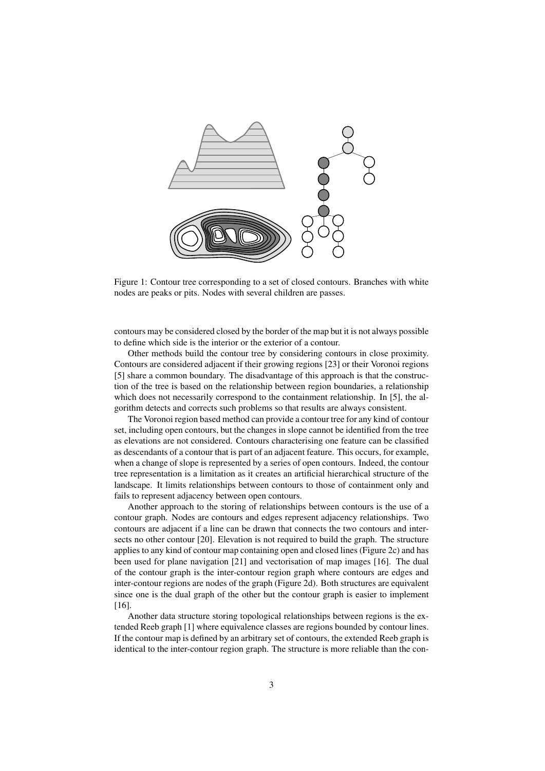

<span id="page-2-0"></span>Figure 1: Contour tree corresponding to a set of closed contours. Branches with white nodes are peaks or pits. Nodes with several children are passes.

contours may be considered closed by the border of the map but it is not always possible to define which side is the interior or the exterior of a contour.

Other methods build the contour tree by considering contours in close proximity. Contours are considered adjacent if their growing regions [\[23\]](#page-22-4) or their Voronoi regions [\[5\]](#page-20-2) share a common boundary. The disadvantage of this approach is that the construction of the tree is based on the relationship between region boundaries, a relationship which does not necessarily correspond to the containment relationship. In [\[5\]](#page-20-2), the algorithm detects and corrects such problems so that results are always consistent.

The Voronoi region based method can provide a contour tree for any kind of contour set, including open contours, but the changes in slope cannot be identified from the tree as elevations are not considered. Contours characterising one feature can be classified as descendants of a contour that is part of an adjacent feature. This occurs, for example, when a change of slope is represented by a series of open contours. Indeed, the contour tree representation is a limitation as it creates an artificial hierarchical structure of the landscape. It limits relationships between contours to those of containment only and fails to represent adjacency between open contours.

Another approach to the storing of relationships between contours is the use of a contour graph. Nodes are contours and edges represent adjacency relationships. Two contours are adjacent if a line can be drawn that connects the two contours and intersects no other contour [\[20\]](#page-21-7). Elevation is not required to build the graph. The structure applies to any kind of contour map containing open and closed lines (Figure [2c](#page-3-0)) and has been used for plane navigation [\[21\]](#page-22-5) and vectorisation of map images [\[16\]](#page-21-8). The dual of the contour graph is the inter-contour region graph where contours are edges and inter-contour regions are nodes of the graph (Figure [2d](#page-3-0)). Both structures are equivalent since one is the dual graph of the other but the contour graph is easier to implement [\[16\]](#page-21-8).

Another data structure storing topological relationships between regions is the extended Reeb graph [\[1\]](#page-19-0) where equivalence classes are regions bounded by contour lines. If the contour map is defined by an arbitrary set of contours, the extended Reeb graph is identical to the inter-contour region graph. The structure is more reliable than the con-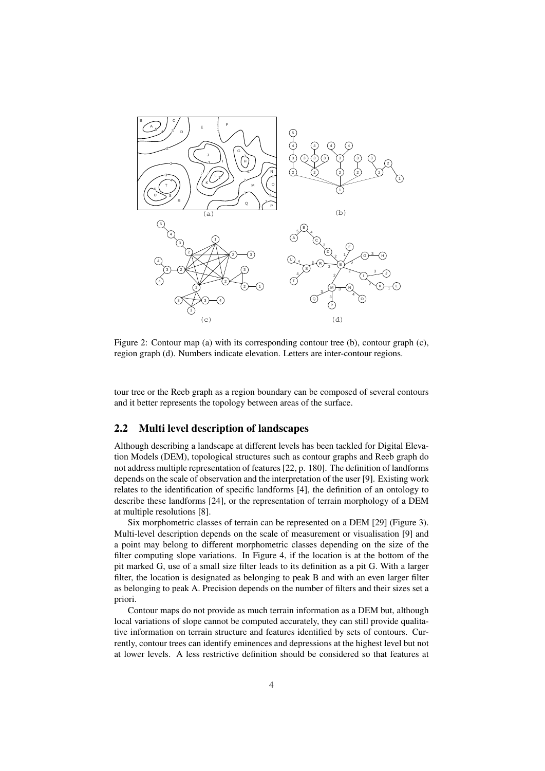

<span id="page-3-0"></span>Figure 2: Contour map (a) with its corresponding contour tree (b), contour graph (c), region graph (d). Numbers indicate elevation. Letters are inter-contour regions.

tour tree or the Reeb graph as a region boundary can be composed of several contours and it better represents the topology between areas of the surface.

### 2.2 Multi level description of landscapes

Although describing a landscape at different levels has been tackled for Digital Elevation Models (DEM), topological structures such as contour graphs and Reeb graph do not address multiple representation of features [\[22,](#page-22-1) p. 180]. The definition of landforms depends on the scale of observation and the interpretation of the user [\[9\]](#page-21-9). Existing work relates to the identification of specific landforms [\[4\]](#page-20-0), the definition of an ontology to describe these landforms [\[24\]](#page-22-6), or the representation of terrain morphology of a DEM at multiple resolutions [\[8\]](#page-21-1).

Six morphometric classes of terrain can be represented on a DEM [\[29\]](#page-22-7) (Figure [3\)](#page-4-1). Multi-level description depends on the scale of measurement or visualisation [\[9\]](#page-21-9) and a point may belong to different morphometric classes depending on the size of the filter computing slope variations. In Figure [4,](#page-4-2) if the location is at the bottom of the pit marked G, use of a small size filter leads to its definition as a pit G. With a larger filter, the location is designated as belonging to peak B and with an even larger filter as belonging to peak A. Precision depends on the number of filters and their sizes set a priori.

Contour maps do not provide as much terrain information as a DEM but, although local variations of slope cannot be computed accurately, they can still provide qualitative information on terrain structure and features identified by sets of contours. Currently, contour trees can identify eminences and depressions at the highest level but not at lower levels. A less restrictive definition should be considered so that features at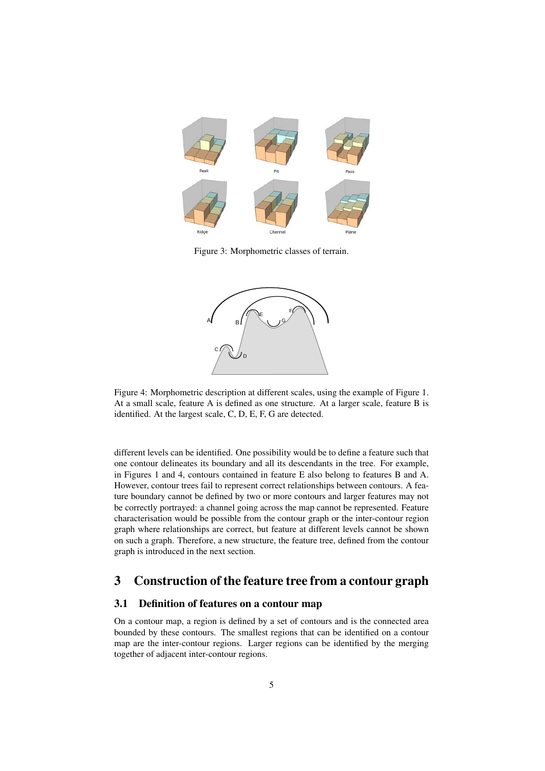

Figure 3: Morphometric classes of terrain.

<span id="page-4-1"></span>

<span id="page-4-2"></span>Figure 4: Morphometric description at different scales, using the example of Figure [1.](#page-2-0) At a small scale, feature A is defined as one structure. At a larger scale, feature B is identified. At the largest scale, C, D, E, F, G are detected.

different levels can be identified. One possibility would be to define a feature such that one contour delineates its boundary and all its descendants in the tree. For example, in Figures [1](#page-2-0) and [4,](#page-4-2) contours contained in feature E also belong to features B and A. However, contour trees fail to represent correct relationships between contours. A feature boundary cannot be defined by two or more contours and larger features may not be correctly portrayed: a channel going across the map cannot be represented. Feature characterisation would be possible from the contour graph or the inter-contour region graph where relationships are correct, but feature at different levels cannot be shown on such a graph. Therefore, a new structure, the feature tree, defined from the contour graph is introduced in the next section.

# <span id="page-4-0"></span>3 Construction of the feature tree from a contour graph

#### <span id="page-4-3"></span>3.1 Definition of features on a contour map

On a contour map, a region is defined by a set of contours and is the connected area bounded by these contours. The smallest regions that can be identified on a contour map are the inter-contour regions. Larger regions can be identified by the merging together of adjacent inter-contour regions.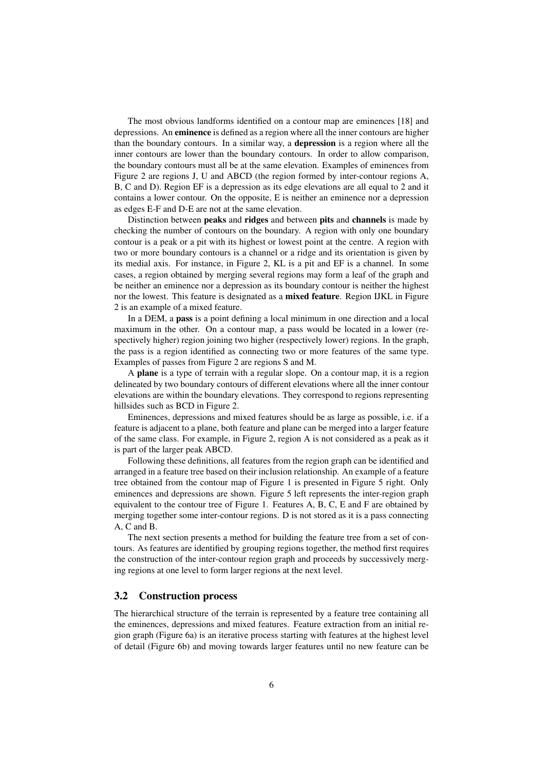The most obvious landforms identified on a contour map are eminences [\[18\]](#page-21-10) and depressions. An **eminence** is defined as a region where all the inner contours are higher than the boundary contours. In a similar way, a depression is a region where all the inner contours are lower than the boundary contours. In order to allow comparison, the boundary contours must all be at the same elevation. Examples of eminences from Figure [2](#page-3-0) are regions J, U and ABCD (the region formed by inter-contour regions A, B, C and D). Region EF is a depression as its edge elevations are all equal to 2 and it contains a lower contour. On the opposite, E is neither an eminence nor a depression as edges E-F and D-E are not at the same elevation.

Distinction between peaks and ridges and between pits and channels is made by checking the number of contours on the boundary. A region with only one boundary contour is a peak or a pit with its highest or lowest point at the centre. A region with two or more boundary contours is a channel or a ridge and its orientation is given by its medial axis. For instance, in Figure [2,](#page-3-0) KL is a pit and EF is a channel. In some cases, a region obtained by merging several regions may form a leaf of the graph and be neither an eminence nor a depression as its boundary contour is neither the highest nor the lowest. This feature is designated as a mixed feature. Region IJKL in Figure [2](#page-3-0) is an example of a mixed feature.

In a DEM, a pass is a point defining a local minimum in one direction and a local maximum in the other. On a contour map, a pass would be located in a lower (respectively higher) region joining two higher (respectively lower) regions. In the graph, the pass is a region identified as connecting two or more features of the same type. Examples of passes from Figure [2](#page-3-0) are regions S and M.

A plane is a type of terrain with a regular slope. On a contour map, it is a region delineated by two boundary contours of different elevations where all the inner contour elevations are within the boundary elevations. They correspond to regions representing hillsides such as BCD in Figure [2.](#page-3-0)

Eminences, depressions and mixed features should be as large as possible, i.e. if a feature is adjacent to a plane, both feature and plane can be merged into a larger feature of the same class. For example, in Figure [2,](#page-3-0) region A is not considered as a peak as it is part of the larger peak ABCD.

Following these definitions, all features from the region graph can be identified and arranged in a feature tree based on their inclusion relationship. An example of a feature tree obtained from the contour map of Figure [1](#page-2-0) is presented in Figure [5](#page-6-0) right. Only eminences and depressions are shown. Figure [5](#page-6-0) left represents the inter-region graph equivalent to the contour tree of Figure [1.](#page-2-0) Features A, B, C, E and F are obtained by merging together some inter-contour regions. D is not stored as it is a pass connecting A, C and B.

The next section presents a method for building the feature tree from a set of contours. As features are identified by grouping regions together, the method first requires the construction of the inter-contour region graph and proceeds by successively merging regions at one level to form larger regions at the next level.

### 3.2 Construction process

The hierarchical structure of the terrain is represented by a feature tree containing all the eminences, depressions and mixed features. Feature extraction from an initial region graph (Figure [6a](#page-11-0)) is an iterative process starting with features at the highest level of detail (Figure [6b](#page-11-0)) and moving towards larger features until no new feature can be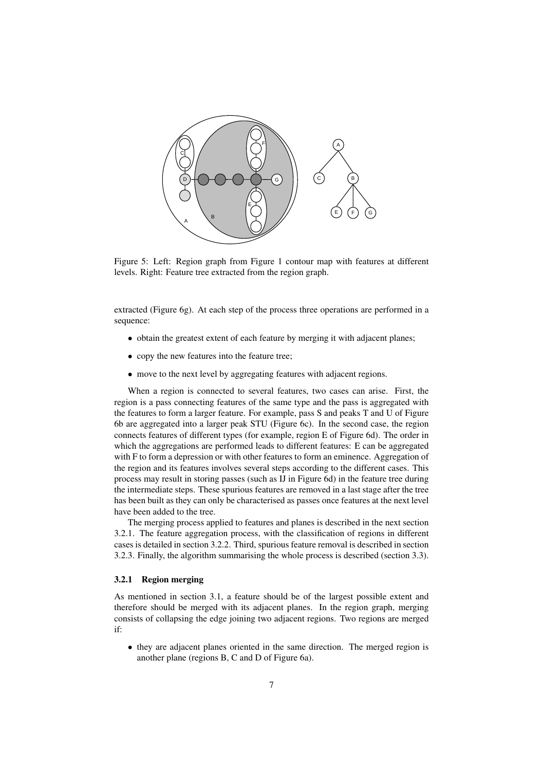

<span id="page-6-0"></span>Figure 5: Left: Region graph from Figure [1](#page-2-0) contour map with features at different levels. Right: Feature tree extracted from the region graph.

extracted (Figure [6g](#page-11-0)). At each step of the process three operations are performed in a sequence:

- obtain the greatest extent of each feature by merging it with adjacent planes;
- copy the new features into the feature tree;
- move to the next level by aggregating features with adjacent regions.

When a region is connected to several features, two cases can arise. First, the region is a pass connecting features of the same type and the pass is aggregated with the features to form a larger feature. For example, pass S and peaks T and U of Figure [6b](#page-11-0) are aggregated into a larger peak STU (Figure [6c](#page-11-0)). In the second case, the region connects features of different types (for example, region E of Figure [6d](#page-11-0)). The order in which the aggregations are performed leads to different features: E can be aggregated with F to form a depression or with other features to form an eminence. Aggregation of the region and its features involves several steps according to the different cases. This process may result in storing passes (such as IJ in Figure [6d](#page-11-0)) in the feature tree during the intermediate steps. These spurious features are removed in a last stage after the tree has been built as they can only be characterised as passes once features at the next level have been added to the tree.

The merging process applied to features and planes is described in the next section [3.2.1.](#page-6-1) The feature aggregation process, with the classification of regions in different cases is detailed in section [3.2.2.](#page-7-0) Third, spurious feature removal is described in section [3.2.3.](#page-10-0) Finally, the algorithm summarising the whole process is described (section [3.3\)](#page-10-1).

#### <span id="page-6-1"></span>3.2.1 Region merging

As mentioned in section [3.1,](#page-4-3) a feature should be of the largest possible extent and therefore should be merged with its adjacent planes. In the region graph, merging consists of collapsing the edge joining two adjacent regions. Two regions are merged if:

• they are adjacent planes oriented in the same direction. The merged region is another plane (regions B, C and D of Figure [6a](#page-11-0)).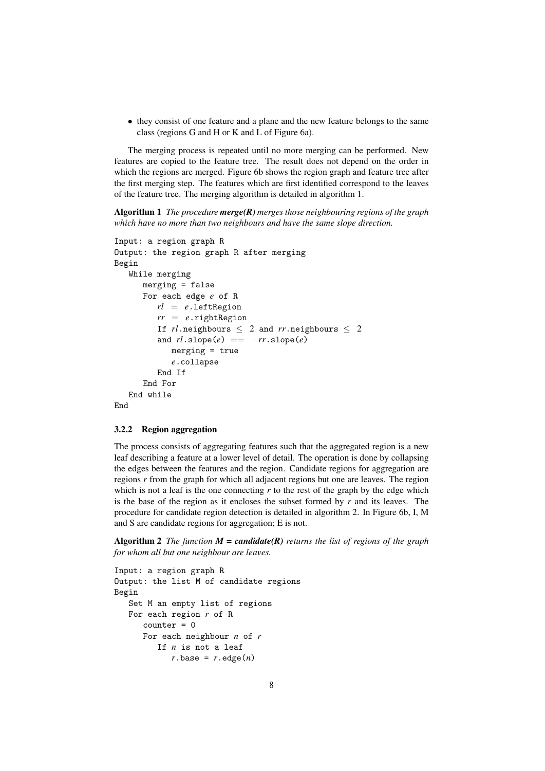<span id="page-7-1"></span>• they consist of one feature and a plane and the new feature belongs to the same class (regions G and H or K and L of Figure [6a](#page-11-0)).

The merging process is repeated until no more merging can be performed. New features are copied to the feature tree. The result does not depend on the order in which the regions are merged. Figure [6b](#page-11-0) shows the region graph and feature tree after the first merging step. The features which are first identified correspond to the leaves of the feature tree. The merging algorithm is detailed in algorithm [1.](#page-7-1)

Algorithm 1 *The procedure merge(R) merges those neighbouring regions of the graph which have no more than two neighbours and have the same slope direction.*

```
Input: a region graph R
Output: the region graph R after merging
Begin
   While merging
      merging = false
      For each edge e of R
         rl = e.leftRegion
         rr = e.rightRegion
         If rl.neighbours \leq 2 and rr.neighbours \leq 2and rl.\text{slope}(e) == -rr.\text{slope}(e)merging = true
             e.collapse
         End If
      End For
   End while
End
```
#### <span id="page-7-0"></span>3.2.2 Region aggregation

The process consists of aggregating features such that the aggregated region is a new leaf describing a feature at a lower level of detail. The operation is done by collapsing the edges between the features and the region. Candidate regions for aggregation are regions *r* from the graph for which all adjacent regions but one are leaves. The region which is not a leaf is the one connecting r to the rest of the graph by the edge which is the base of the region as it encloses the subset formed by *r* and its leaves. The procedure for candidate region detection is detailed in algorithm [2.](#page-7-2) In Figure [6b](#page-11-0), I, M and S are candidate regions for aggregation; E is not.

<span id="page-7-2"></span>Algorithm 2 *The function M = candidate(R) returns the list of regions of the graph for whom all but one neighbour are leaves.*

```
Input: a region graph R
Output: the list M of candidate regions
Begin
   Set M an empty list of regions
   For each region r of R
      counter = 0For each neighbour n of r
          If n is not a leaf
             r \cdot \text{base} = r \cdot \text{edge}(n)
```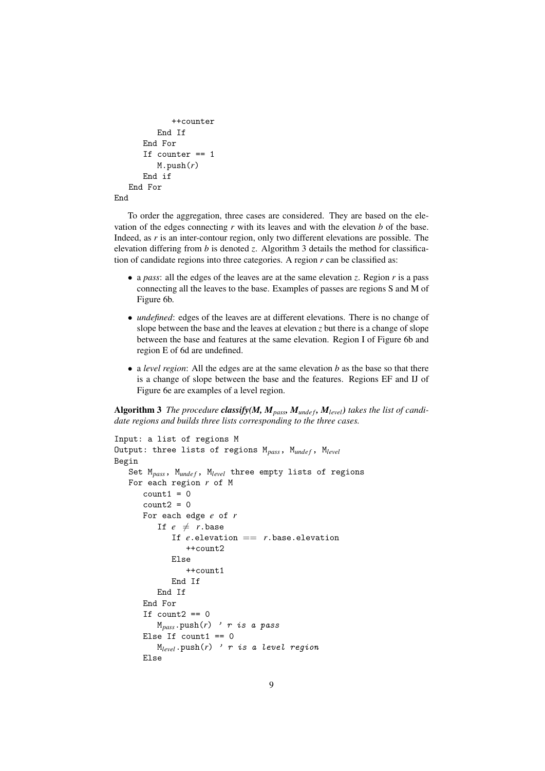```
++counter
         End If
      End For
      If counter == 1M.push(r)
      End if
   End For
End
```
To order the aggregation, three cases are considered. They are based on the elevation of the edges connecting *r* with its leaves and with the elevation *b* of the base. Indeed, as *r* is an inter-contour region, only two different elevations are possible. The elevation differing from *b* is denoted *z*. Algorithm [3](#page-8-0) details the method for classification of candidate regions into three categories. A region *r* can be classified as:

- a *pass*: all the edges of the leaves are at the same elevation *z*. Region *r* is a pass connecting all the leaves to the base. Examples of passes are regions S and M of Figure [6b](#page-11-0).
- *undefined*: edges of the leaves are at different elevations. There is no change of slope between the base and the leaves at elevation *z* but there is a change of slope between the base and features at the same elevation. Region I of Figure [6b](#page-11-0) and region E of [6d](#page-11-0) are undefined.
- a *level region*: All the edges are at the same elevation *b* as the base so that there is a change of slope between the base and the features. Regions EF and IJ of Figure [6e](#page-11-0) are examples of a level region.

<span id="page-8-0"></span>Algorithm 3 *The procedure classify*(*M,*  $M_{pass}$ *,*  $M_{underf}$ *,*  $M_{level}$ *) takes the list of candidate regions and builds three lists corresponding to the three cases.*

```
Input: a list of regions M
Output: three lists of regions Mpass, Munde f , Mlevel
Begin
   Set M<sub>pass</sub>, M<sub>undef</sub>, M<sub>level</sub> three empty lists of regions
   For each region r of M
      count1 = 0count2 = 0For each edge e of r
          If e \neq r.base
             If e.elevation == r.base.elevation
                 ++count2
             Else
                 ++count1
             End If
          End If
      End For
      If count2 == 0Mpass.push(r) ' r is a pass
      Else If count1 == 0Mlevel.push(r) ' r is a level region
      Else
```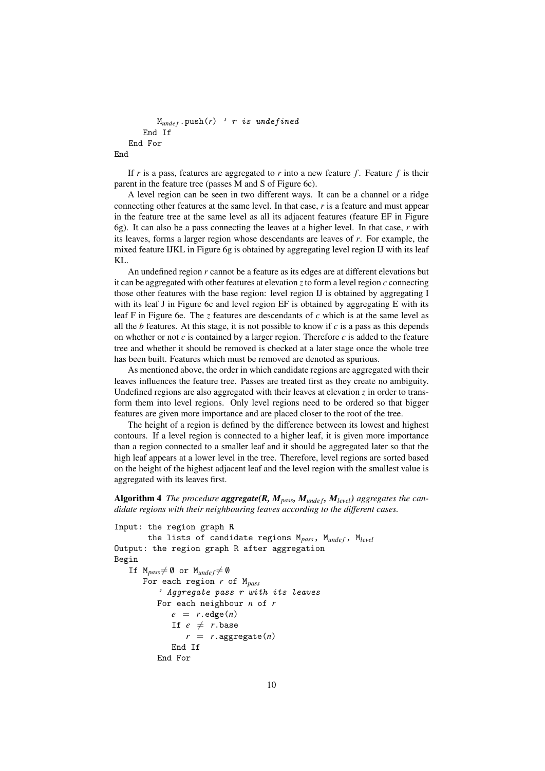```
M_{undef}.push(r) ' r is undefined
      End If
   End For
End
```
If *r* is a pass, features are aggregated to *r* into a new feature *f* . Feature *f* is their parent in the feature tree (passes M and S of Figure [6c](#page-11-0)).

A level region can be seen in two different ways. It can be a channel or a ridge connecting other features at the same level. In that case, *r* is a feature and must appear in the feature tree at the same level as all its adjacent features (feature EF in Figure [6g](#page-11-0)). It can also be a pass connecting the leaves at a higher level. In that case, *r* with its leaves, forms a larger region whose descendants are leaves of *r*. For example, the mixed feature IJKL in Figure [6g](#page-11-0) is obtained by aggregating level region IJ with its leaf KL.

An undefined region *r* cannot be a feature as its edges are at different elevations but it can be aggregated with other features at elevation *z*to form a level region *c* connecting those other features with the base region: level region IJ is obtained by aggregating I with its leaf J in Figure [6c](#page-11-0) and level region EF is obtained by aggregating E with its leaf F in Figure [6e](#page-11-0). The *z* features are descendants of *c* which is at the same level as all the *b* features. At this stage, it is not possible to know if *c* is a pass as this depends on whether or not *c* is contained by a larger region. Therefore *c* is added to the feature tree and whether it should be removed is checked at a later stage once the whole tree has been built. Features which must be removed are denoted as spurious.

As mentioned above, the order in which candidate regions are aggregated with their leaves influences the feature tree. Passes are treated first as they create no ambiguity. Undefined regions are also aggregated with their leaves at elevation  $\zeta$  in order to transform them into level regions. Only level regions need to be ordered so that bigger features are given more importance and are placed closer to the root of the tree.

The height of a region is defined by the difference between its lowest and highest contours. If a level region is connected to a higher leaf, it is given more importance than a region connected to a smaller leaf and it should be aggregated later so that the high leaf appears at a lower level in the tree. Therefore, level regions are sorted based on the height of the highest adjacent leaf and the level region with the smallest value is aggregated with its leaves first.

<span id="page-9-0"></span>Algorithm 4 *The procedure aggregate*( $R$ ,  $M_{pass}$ ,  $M_{under}$ ,  $M_{level}$ ) aggregates the can*didate regions with their neighbouring leaves according to the different cases.*

```
Input: the region graph R
        the lists of candidate regions Mpass, Munde f , Mlevel
Output: the region graph R after aggregation
Begin
   If M_{pass} \neq \emptyset or M_{under} \neq \emptysetFor each region r of Mpass
           ' Aggregate pass r with its leaves
          For each neighbour n of r
              e = r.edge(n)
              If e \neq r.base
                 r = r \cdot \text{aggregate}(n)End If
```
End For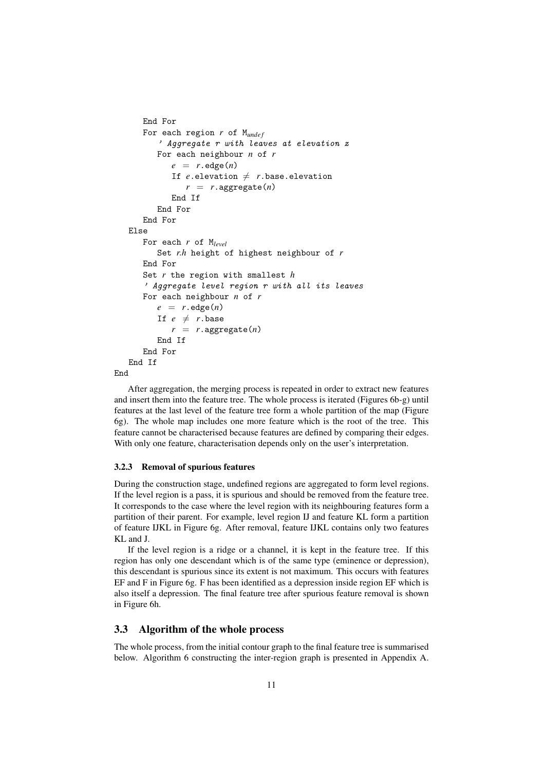```
End For
      For each region r of M<sub>undef</sub>
          ' Aggregate r with leaves at elevation z
         For each neighbour n of r
             e = r.edge(n)
             If e.elevation \neq r.base.elevation
                r = r \cdot \text{aggregate}(n)End If
         End For
      End For
   Else
      For each r of Mlevel
         Set r.h height of highest neighbour of r
      End For
      Set r the region with smallest h
       ' Aggregate level region r with all its leaves
      For each neighbour n of r
         e = r.edge(n)If e \neq r.base
             r = r \cdot \text{aggregate}(n)End If
      End For
   End If
End
```
After aggregation, the merging process is repeated in order to extract new features and insert them into the feature tree. The whole process is iterated (Figures [6b](#page-11-0)-g) until features at the last level of the feature tree form a whole partition of the map (Figure [6g](#page-11-0)). The whole map includes one more feature which is the root of the tree. This feature cannot be characterised because features are defined by comparing their edges. With only one feature, characterisation depends only on the user's interpretation.

#### <span id="page-10-0"></span>3.2.3 Removal of spurious features

During the construction stage, undefined regions are aggregated to form level regions. If the level region is a pass, it is spurious and should be removed from the feature tree. It corresponds to the case where the level region with its neighbouring features form a partition of their parent. For example, level region IJ and feature KL form a partition of feature IJKL in Figure [6g](#page-11-0). After removal, feature IJKL contains only two features KL and J.

If the level region is a ridge or a channel, it is kept in the feature tree. If this region has only one descendant which is of the same type (eminence or depression), this descendant is spurious since its extent is not maximum. This occurs with features EF and F in Figure [6g](#page-11-0). F has been identified as a depression inside region EF which is also itself a depression. The final feature tree after spurious feature removal is shown in Figure [6h](#page-11-0).

### <span id="page-10-1"></span>3.3 Algorithm of the whole process

The whole process, from the initial contour graph to the final feature tree is summarised below. Algorithm [6](#page-18-0) constructing the inter-region graph is presented in Appendix [A.](#page-18-1)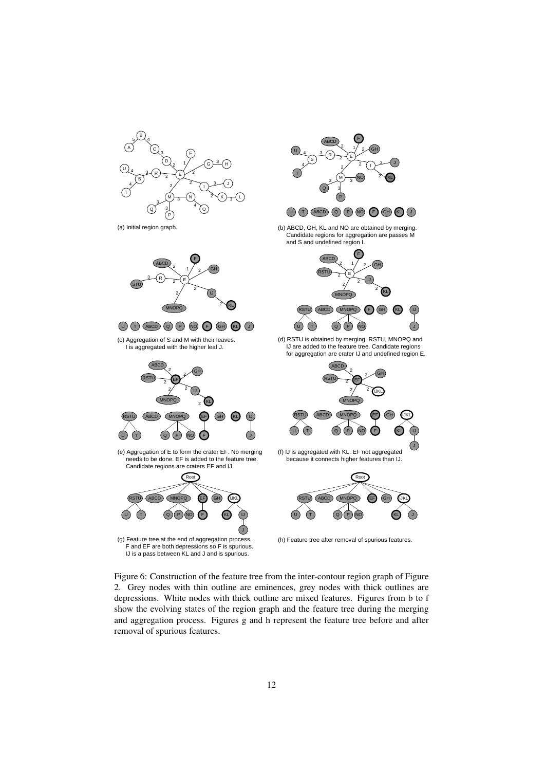

<span id="page-11-0"></span>Figure 6: Construction of the feature tree from the inter-contour region graph of Figure [2.](#page-3-0) Grey nodes with thin outline are eminences, grey nodes with thick outlines are depressions. White nodes with thick outline are mixed features. Figures from b to f show the evolving states of the region graph and the feature tree during the merging and aggregation process. Figures g and h represent the feature tree before and after removal of spurious features.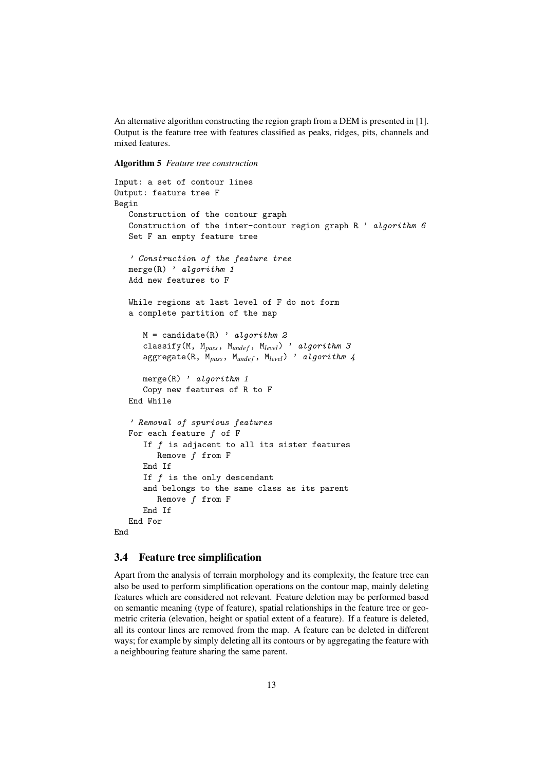An alternative algorithm constructing the region graph from a DEM is presented in [\[1\]](#page-19-0). Output is the feature tree with features classified as peaks, ridges, pits, channels and mixed features.

Algorithm 5 *Feature tree construction*

```
Input: a set of contour lines
Output: feature tree F
Begin
  Construction of the contour graph
   6
  Set F an empty feature tree
  ' Construction of the feature tree
  merge(R) 1
  Add new features to F
  While regions at last level of F do not form
  a complete partition of the map
     M = candidate(R) 2
     classify(M, Mpass, Munde f , Mlevel) ' algorithm 3
     aggregate(R, Mpass, Munde f , Mlevel) ' algorithm 4
     merge(R) 1
     Copy new features of R to F
  End While
  ' Removal of spurious features
  For each feature f of F
     If f is adjacent to all its sister features
        Remove f from FEnd If
     If f is the only descendant
     and belongs to the same class as its parent
        Remove f from F
     End If
  End For
End
```
### <span id="page-12-0"></span>3.4 Feature tree simplification

Apart from the analysis of terrain morphology and its complexity, the feature tree can also be used to perform simplification operations on the contour map, mainly deleting features which are considered not relevant. Feature deletion may be performed based on semantic meaning (type of feature), spatial relationships in the feature tree or geometric criteria (elevation, height or spatial extent of a feature). If a feature is deleted, all its contour lines are removed from the map. A feature can be deleted in different ways; for example by simply deleting all its contours or by aggregating the feature with a neighbouring feature sharing the same parent.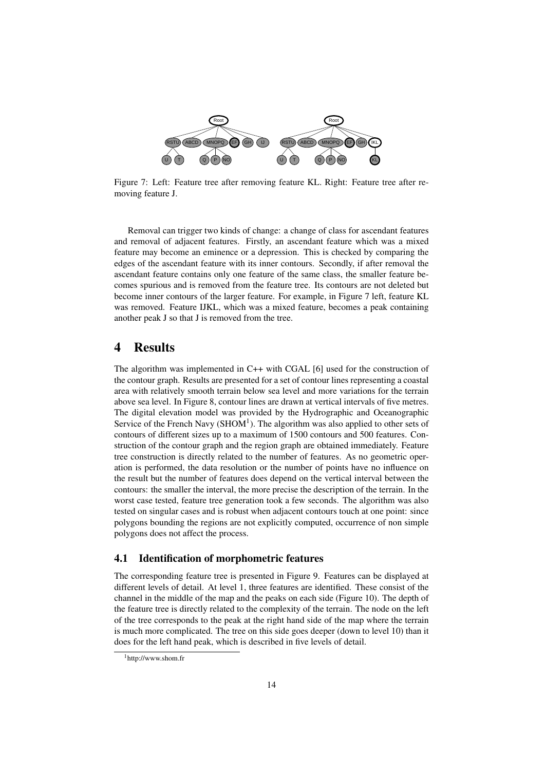

<span id="page-13-1"></span>Figure 7: Left: Feature tree after removing feature KL. Right: Feature tree after removing feature J.

Removal can trigger two kinds of change: a change of class for ascendant features and removal of adjacent features. Firstly, an ascendant feature which was a mixed feature may become an eminence or a depression. This is checked by comparing the edges of the ascendant feature with its inner contours. Secondly, if after removal the ascendant feature contains only one feature of the same class, the smaller feature becomes spurious and is removed from the feature tree. Its contours are not deleted but become inner contours of the larger feature. For example, in Figure [7](#page-13-1) left, feature KL was removed. Feature IJKL, which was a mixed feature, becomes a peak containing another peak J so that J is removed from the tree.

# <span id="page-13-0"></span>4 Results

The algorithm was implemented in C++ with CGAL [\[6\]](#page-20-4) used for the construction of the contour graph. Results are presented for a set of contour lines representing a coastal area with relatively smooth terrain below sea level and more variations for the terrain above sea level. In Figure [8,](#page-14-0) contour lines are drawn at vertical intervals of five metres. The digital elevation model was provided by the Hydrographic and Oceanographic Service of the French Navy (SHOM<sup>[1](#page-13-2)</sup>). The algorithm was also applied to other sets of contours of different sizes up to a maximum of 1500 contours and 500 features. Construction of the contour graph and the region graph are obtained immediately. Feature tree construction is directly related to the number of features. As no geometric operation is performed, the data resolution or the number of points have no influence on the result but the number of features does depend on the vertical interval between the contours: the smaller the interval, the more precise the description of the terrain. In the worst case tested, feature tree generation took a few seconds. The algorithm was also tested on singular cases and is robust when adjacent contours touch at one point: since polygons bounding the regions are not explicitly computed, occurrence of non simple polygons does not affect the process.

### 4.1 Identification of morphometric features

The corresponding feature tree is presented in Figure [9.](#page-15-0) Features can be displayed at different levels of detail. At level 1, three features are identified. These consist of the channel in the middle of the map and the peaks on each side (Figure [10\)](#page-16-0). The depth of the feature tree is directly related to the complexity of the terrain. The node on the left of the tree corresponds to the peak at the right hand side of the map where the terrain is much more complicated. The tree on this side goes deeper (down to level 10) than it does for the left hand peak, which is described in five levels of detail.

<span id="page-13-2"></span><sup>&</sup>lt;sup>1</sup><http://www.shom.fr>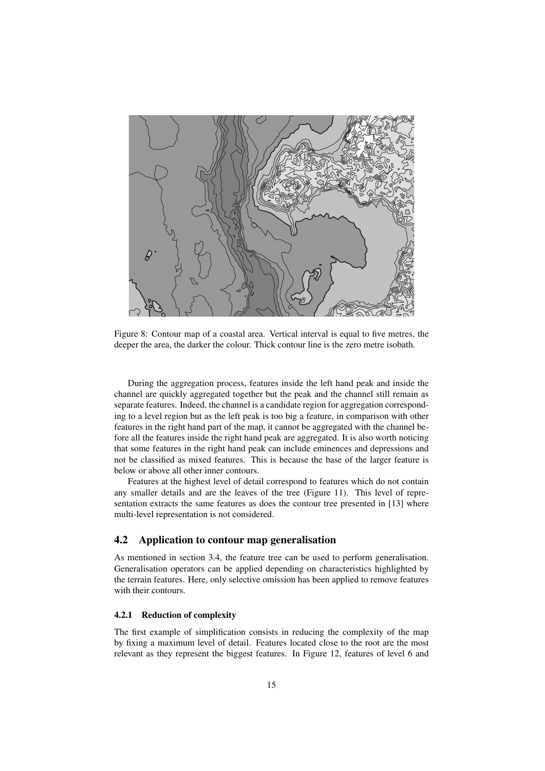

Figure 8: Contour map of a coastal area. Vertical interval is equal to five metres, the deeper the area, the darker the colour. Thick contour line is the zero metre isobath.

<span id="page-14-0"></span>During the aggregation process, features inside the left hand peak and inside the channel are quickly aggregated together but the peak and the channel still remain as separate features. Indeed, the channel is a candidate region for aggregation corresponding to a level region but as the left peak is too big a feature, in comparison with other features in the right hand part of the map, it cannot be aggregated with the channel before all the features inside the right hand peak are aggregated. It is also worth noticing that some features in the right hand peak can include eminences and depressions and not be classified as mixed features. This is because the base of the larger feature is below or above all other inner contours.

Features at the highest level of detail correspond to features which do not contain any smaller details and are the leaves of the tree (Figure [11\)](#page-17-0). This level of representation extracts the same features as does the contour tree presented in [\[13\]](#page-21-2) where multi-level representation is not considered.

### 4.2 Application to contour map generalisation

As mentioned in section [3.4,](#page-12-0) the feature tree can be used to perform generalisation. Generalisation operators can be applied depending on characteristics highlighted by the terrain features. Here, only selective omission has been applied to remove features with their contours.

### 4.2.1 Reduction of complexity

The first example of simplification consists in reducing the complexity of the map by fixing a maximum level of detail. Features located close to the root are the most relevant as they represent the biggest features. In Figure [12,](#page-18-2) features of level 6 and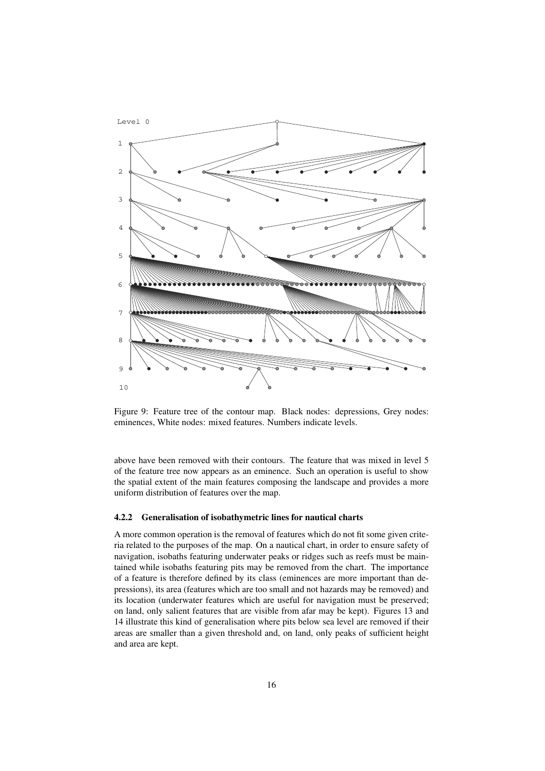

<span id="page-15-0"></span>Figure 9: Feature tree of the contour map. Black nodes: depressions, Grey nodes: eminences, White nodes: mixed features. Numbers indicate levels.

above have been removed with their contours. The feature that was mixed in level 5 of the feature tree now appears as an eminence. Such an operation is useful to show the spatial extent of the main features composing the landscape and provides a more uniform distribution of features over the map.

#### 4.2.2 Generalisation of isobathymetric lines for nautical charts

A more common operation is the removal of features which do not fit some given criteria related to the purposes of the map. On a nautical chart, in order to ensure safety of navigation, isobaths featuring underwater peaks or ridges such as reefs must be maintained while isobaths featuring pits may be removed from the chart. The importance of a feature is therefore defined by its class (eminences are more important than depressions), its area (features which are too small and not hazards may be removed) and its location (underwater features which are useful for navigation must be preserved; on land, only salient features that are visible from afar may be kept). Figures [13](#page-19-1) and [14](#page-20-5) illustrate this kind of generalisation where pits below sea level are removed if their areas are smaller than a given threshold and, on land, only peaks of sufficient height and area are kept.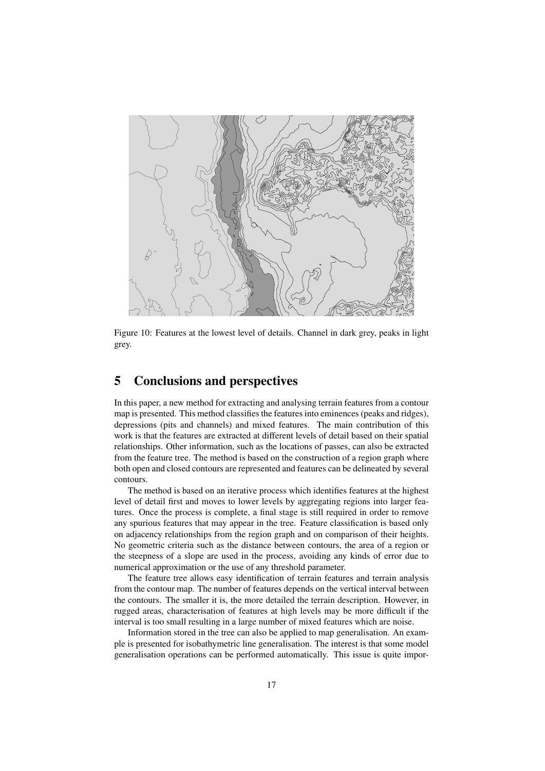

Figure 10: Features at the lowest level of details. Channel in dark grey, peaks in light grey.

# <span id="page-16-0"></span>5 Conclusions and perspectives

In this paper, a new method for extracting and analysing terrain features from a contour map is presented. This method classifies the features into eminences (peaks and ridges), depressions (pits and channels) and mixed features. The main contribution of this work is that the features are extracted at different levels of detail based on their spatial relationships. Other information, such as the locations of passes, can also be extracted from the feature tree. The method is based on the construction of a region graph where both open and closed contours are represented and features can be delineated by several contours.

The method is based on an iterative process which identifies features at the highest level of detail first and moves to lower levels by aggregating regions into larger features. Once the process is complete, a final stage is still required in order to remove any spurious features that may appear in the tree. Feature classification is based only on adjacency relationships from the region graph and on comparison of their heights. No geometric criteria such as the distance between contours, the area of a region or the steepness of a slope are used in the process, avoiding any kinds of error due to numerical approximation or the use of any threshold parameter.

The feature tree allows easy identification of terrain features and terrain analysis from the contour map. The number of features depends on the vertical interval between the contours. The smaller it is, the more detailed the terrain description. However, in rugged areas, characterisation of features at high levels may be more difficult if the interval is too small resulting in a large number of mixed features which are noise.

Information stored in the tree can also be applied to map generalisation. An example is presented for isobathymetric line generalisation. The interest is that some model generalisation operations can be performed automatically. This issue is quite impor-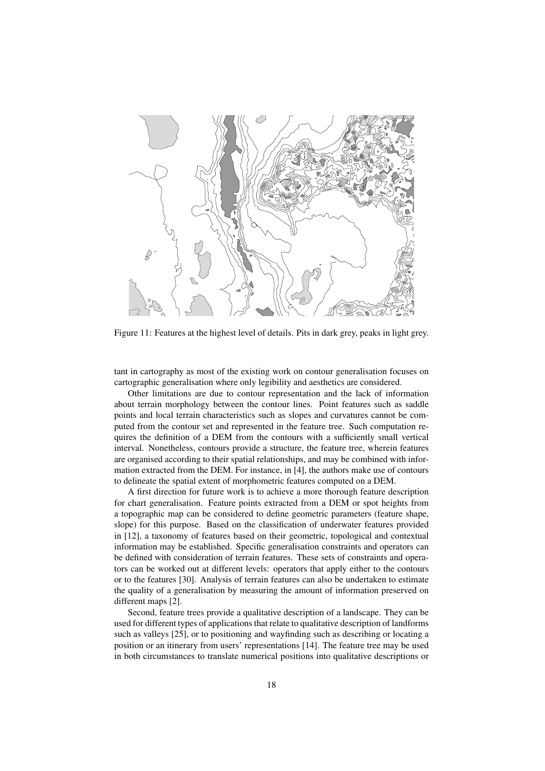

Figure 11: Features at the highest level of details. Pits in dark grey, peaks in light grey.

<span id="page-17-0"></span>tant in cartography as most of the existing work on contour generalisation focuses on cartographic generalisation where only legibility and aesthetics are considered.

Other limitations are due to contour representation and the lack of information about terrain morphology between the contour lines. Point features such as saddle points and local terrain characteristics such as slopes and curvatures cannot be computed from the contour set and represented in the feature tree. Such computation requires the definition of a DEM from the contours with a sufficiently small vertical interval. Nonetheless, contours provide a structure, the feature tree, wherein features are organised according to their spatial relationships, and may be combined with information extracted from the DEM. For instance, in [\[4\]](#page-20-0), the authors make use of contours to delineate the spatial extent of morphometric features computed on a DEM.

A first direction for future work is to achieve a more thorough feature description for chart generalisation. Feature points extracted from a DEM or spot heights from a topographic map can be considered to define geometric parameters (feature shape, slope) for this purpose. Based on the classification of underwater features provided in [\[12\]](#page-21-11), a taxonomy of features based on their geometric, topological and contextual information may be established. Specific generalisation constraints and operators can be defined with consideration of terrain features. These sets of constraints and operators can be worked out at different levels: operators that apply either to the contours or to the features [\[30\]](#page-22-8). Analysis of terrain features can also be undertaken to estimate the quality of a generalisation by measuring the amount of information preserved on different maps [\[2\]](#page-20-6).

Second, feature trees provide a qualitative description of a landscape. They can be used for different types of applications that relate to qualitative description of landforms such as valleys [\[25\]](#page-22-9), or to positioning and wayfinding such as describing or locating a position or an itinerary from users' representations [\[14\]](#page-21-12). The feature tree may be used in both circumstances to translate numerical positions into qualitative descriptions or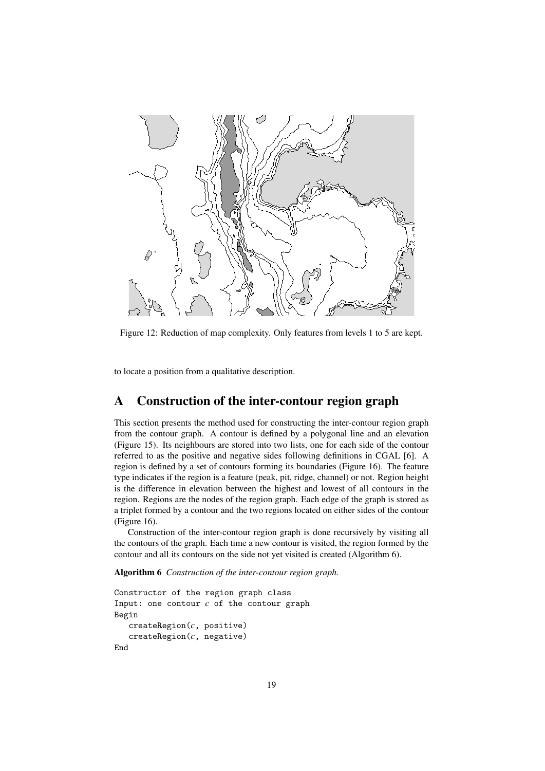

Figure 12: Reduction of map complexity. Only features from levels 1 to 5 are kept.

<span id="page-18-2"></span>to locate a position from a qualitative description.

# <span id="page-18-1"></span>A Construction of the inter-contour region graph

This section presents the method used for constructing the inter-contour region graph from the contour graph. A contour is defined by a polygonal line and an elevation (Figure [15\)](#page-20-7). Its neighbours are stored into two lists, one for each side of the contour referred to as the positive and negative sides following definitions in CGAL [\[6\]](#page-20-4). A region is defined by a set of contours forming its boundaries (Figure [16\)](#page-21-13). The feature type indicates if the region is a feature (peak, pit, ridge, channel) or not. Region height is the difference in elevation between the highest and lowest of all contours in the region. Regions are the nodes of the region graph. Each edge of the graph is stored as a triplet formed by a contour and the two regions located on either sides of the contour (Figure [16\)](#page-21-13).

<span id="page-18-0"></span>Construction of the inter-contour region graph is done recursively by visiting all the contours of the graph. Each time a new contour is visited, the region formed by the contour and all its contours on the side not yet visited is created (Algorithm [6\)](#page-18-0).

Algorithm 6 *Construction of the inter-contour region graph.*

```
Constructor of the region graph class
Input: one contour c of the contour graph
Begin
   createRegion(c, positive)
   createRegion(c, negative)
End
```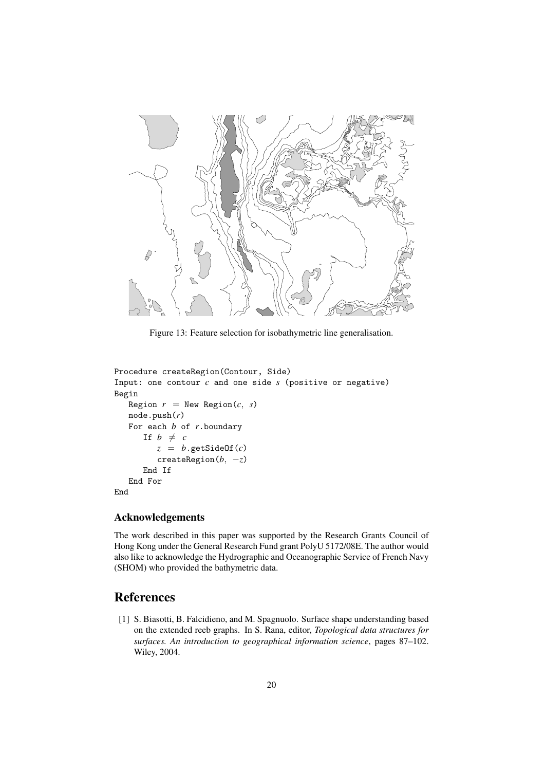

<span id="page-19-1"></span>Figure 13: Feature selection for isobathymetric line generalisation.

```
Procedure createRegion(Contour, Side)
Input: one contour c and one side s (positive or negative)
Begin
   Region r = \text{New Region}(c, s)node.push(r)
   For each b of r.boundary
      If b \neq cz = b.getSideOf(c)
         createRegion(b, −z)
      End If
   End For
End
```
### Acknowledgements

The work described in this paper was supported by the Research Grants Council of Hong Kong under the General Research Fund grant PolyU 5172/08E. The author would also like to acknowledge the Hydrographic and Oceanographic Service of French Navy (SHOM) who provided the bathymetric data.

# References

<span id="page-19-0"></span>[1] S. Biasotti, B. Falcidieno, and M. Spagnuolo. Surface shape understanding based on the extended reeb graphs. In S. Rana, editor, *Topological data structures for surfaces. An introduction to geographical information science*, pages 87–102. Wiley, 2004.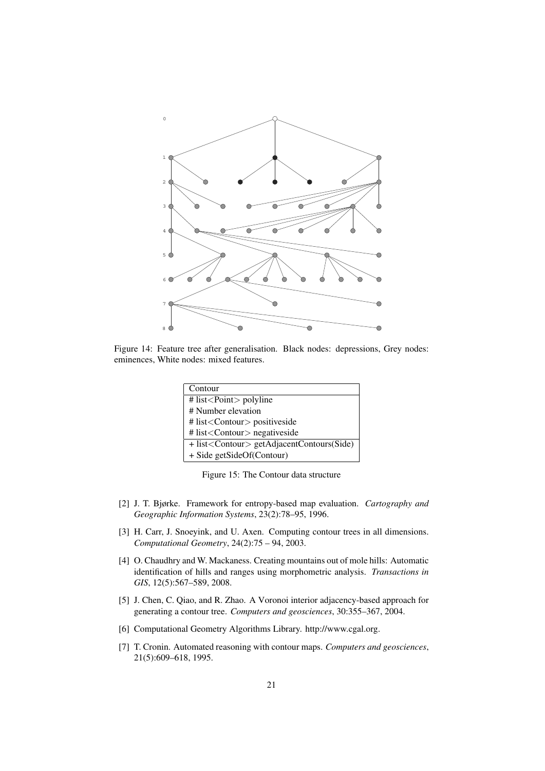

<span id="page-20-5"></span>Figure 14: Feature tree after generalisation. Black nodes: depressions, Grey nodes: eminences, White nodes: mixed features.

| Contour                                              |
|------------------------------------------------------|
| # list <point> polyline</point>                      |
| # Number elevation                                   |
| # list <contour> positiveside</contour>              |
| # list <contour> negativeside</contour>              |
| + list <contour> getAdjacentContours(Side)</contour> |
| + Side getSideOf(Contour)                            |

<span id="page-20-7"></span>Figure 15: The Contour data structure

- <span id="page-20-6"></span>[2] J. T. Bjørke. Framework for entropy-based map evaluation. *Cartography and Geographic Information Systems*, 23(2):78–95, 1996.
- <span id="page-20-3"></span>[3] H. Carr, J. Snoeyink, and U. Axen. Computing contour trees in all dimensions. *Computational Geometry*, 24(2):75 – 94, 2003.
- <span id="page-20-0"></span>[4] O. Chaudhry and W. Mackaness. Creating mountains out of mole hills: Automatic identification of hills and ranges using morphometric analysis. *Transactions in GIS*, 12(5):567–589, 2008.
- <span id="page-20-2"></span>[5] J. Chen, C. Qiao, and R. Zhao. A Voronoi interior adjacency-based approach for generating a contour tree. *Computers and geosciences*, 30:355–367, 2004.
- <span id="page-20-4"></span>[6] Computational Geometry Algorithms Library. http://www.cgal.org.
- <span id="page-20-1"></span>[7] T. Cronin. Automated reasoning with contour maps. *Computers and geosciences*, 21(5):609–618, 1995.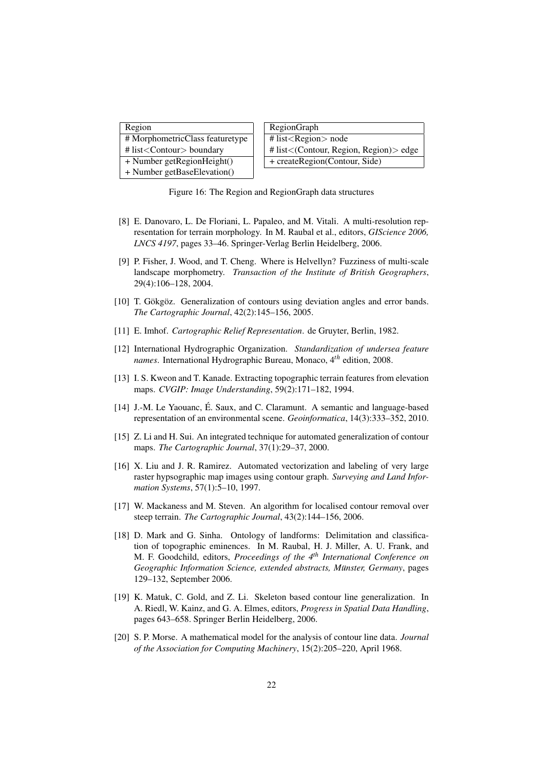| Region                                | RegionGraph            |
|---------------------------------------|------------------------|
| # MorphometricClass featuretype       | # list < Region > r    |
| # list $\langle$ Contour $>$ boundary | # list $\lt$ (Contour, |
| + Number getRegionHeight()            | + createRegion(C       |
| + Number getBaseElevation()           |                        |

| RegionGraph                            |
|----------------------------------------|
| # list $\langle$ Region $>$ node       |
| # list<(Contour, Region, Region)> edge |
| + createRegion(Contour, Side)          |

<span id="page-21-13"></span>Figure 16: The Region and RegionGraph data structures

- <span id="page-21-1"></span>[8] E. Danovaro, L. De Floriani, L. Papaleo, and M. Vitali. A multi-resolution representation for terrain morphology. In M. Raubal et al., editors, *GIScience 2006, LNCS 4197*, pages 33–46. Springer-Verlag Berlin Heidelberg, 2006.
- <span id="page-21-9"></span>[9] P. Fisher, J. Wood, and T. Cheng. Where is Helvellyn? Fuzziness of multi-scale landscape morphometry. *Transaction of the Institute of British Geographers*, 29(4):106–128, 2004.
- <span id="page-21-3"></span>[10] T. Gökgöz. Generalization of contours using deviation angles and error bands. *The Cartographic Journal*, 42(2):145–156, 2005.
- <span id="page-21-0"></span>[11] E. Imhof. *Cartographic Relief Representation*. de Gruyter, Berlin, 1982.
- <span id="page-21-11"></span>[12] International Hydrographic Organization. *Standardization of undersea feature names*. International Hydrographic Bureau, Monaco, 4*th* edition, 2008.
- <span id="page-21-2"></span>[13] I. S. Kweon and T. Kanade. Extracting topographic terrain features from elevation maps. *CVGIP: Image Understanding*, 59(2):171–182, 1994.
- <span id="page-21-12"></span>[14] J.-M. Le Yaouanc, E. Saux, and C. Claramunt. A semantic and language-based ´ representation of an environmental scene. *Geoinformatica*, 14(3):333–352, 2010.
- <span id="page-21-4"></span>[15] Z. Li and H. Sui. An integrated technique for automated generalization of contour maps. *The Cartographic Journal*, 37(1):29–37, 2000.
- <span id="page-21-8"></span>[16] X. Liu and J. R. Ramirez. Automated vectorization and labeling of very large raster hypsographic map images using contour graph. *Surveying and Land Information Systems*, 57(1):5–10, 1997.
- <span id="page-21-5"></span>[17] W. Mackaness and M. Steven. An algorithm for localised contour removal over steep terrain. *The Cartographic Journal*, 43(2):144–156, 2006.
- <span id="page-21-10"></span>[18] D. Mark and G. Sinha. Ontology of landforms: Delimitation and classification of topographic eminences. In M. Raubal, H. J. Miller, A. U. Frank, and M. F. Goodchild, editors, *Proceedings of the 4th International Conference on Geographic Information Science, extended abstracts, Münster, Germany, pages* 129–132, September 2006.
- <span id="page-21-6"></span>[19] K. Matuk, C. Gold, and Z. Li. Skeleton based contour line generalization. In A. Riedl, W. Kainz, and G. A. Elmes, editors, *Progress in Spatial Data Handling*, pages 643–658. Springer Berlin Heidelberg, 2006.
- <span id="page-21-7"></span>[20] S. P. Morse. A mathematical model for the analysis of contour line data. *Journal of the Association for Computing Machinery*, 15(2):205–220, April 1968.